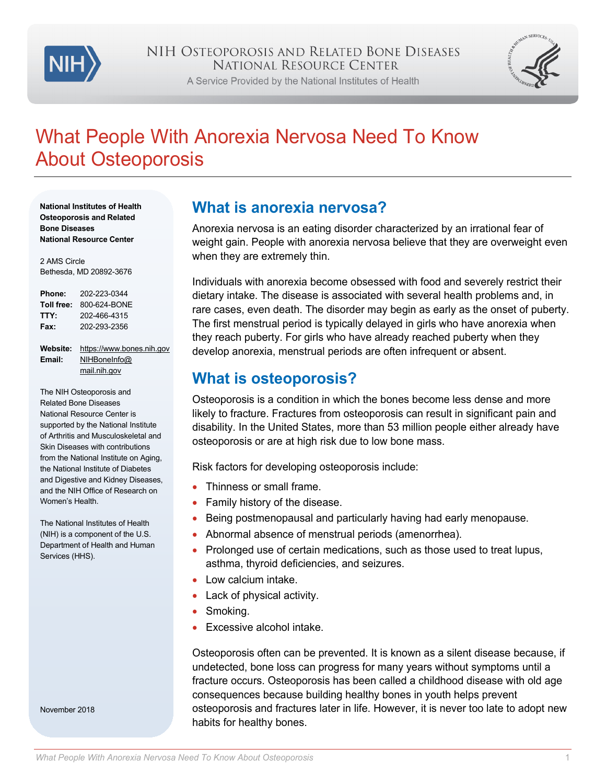

A Service Provided by the National Institutes of Health



# What People With Anorexia Nervosa Need To Know About Osteoporosis

**National Institutes of Health Osteoporosis and Related Bone Diseases National Resource Center**

2 AMS Circle Bethesda, MD 20892-3676

**Phone:** 202-223-0344 **Toll free:** 800-624-BONE **TTY:** 202-466-4315 **Fax:** 202-293-2356

**Website:** [https://www.bones.nih.gov](https://www.bones.nih.gov/) **Email:** [NIHBoneInfo@](mailto:NIHBoneInfo@mail.nih.gov) [mail.nih.gov](mailto:NIHBoneInfo@mail.nih.gov)

The NIH Osteoporosis and Related Bone Diseases National Resource Center is supported by the National Institute of Arthritis and Musculoskeletal and Skin Diseases with contributions from the National Institute on Aging, the National Institute of Diabetes and Digestive and Kidney Diseases, and the NIH Office of Research on Women's Health.

The National Institutes of Health (NIH) is a component of the U.S. Department of Health and Human Services (HHS).

November 2018

### **What is anorexia nervosa?**

Anorexia nervosa is an eating disorder characterized by an irrational fear of weight gain. People with anorexia nervosa believe that they are overweight even when they are extremely thin.

Individuals with anorexia become obsessed with food and severely restrict their dietary intake. The disease is associated with several health problems and, in rare cases, even death. The disorder may begin as early as the onset of puberty. The first menstrual period is typically delayed in girls who have anorexia when they reach puberty. For girls who have already reached puberty when they develop anorexia, menstrual periods are often infrequent or absent.

#### **What is osteoporosis?**

Osteoporosis is a condition in which the bones become less dense and more likely to fracture. Fractures from osteoporosis can result in significant pain and disability. In the United States, more than 53 million people either already have osteoporosis or are at high risk due to low bone mass.

Risk factors for developing osteoporosis include:

- Thinness or small frame.
- Family history of the disease.
- Being postmenopausal and particularly having had early menopause.
- Abnormal absence of menstrual periods (amenorrhea).
- Prolonged use of certain medications, such as those used to treat lupus, asthma, thyroid deficiencies, and seizures.
- Low calcium intake.
- Lack of physical activity.
- Smoking.
- Excessive alcohol intake.

Osteoporosis often can be prevented. It is known as a silent disease because, if undetected, bone loss can progress for many years without symptoms until a fracture occurs. Osteoporosis has been called a childhood disease with old age consequences because building healthy bones in youth helps prevent osteoporosis and fractures later in life. However, it is never too late to adopt new habits for healthy bones.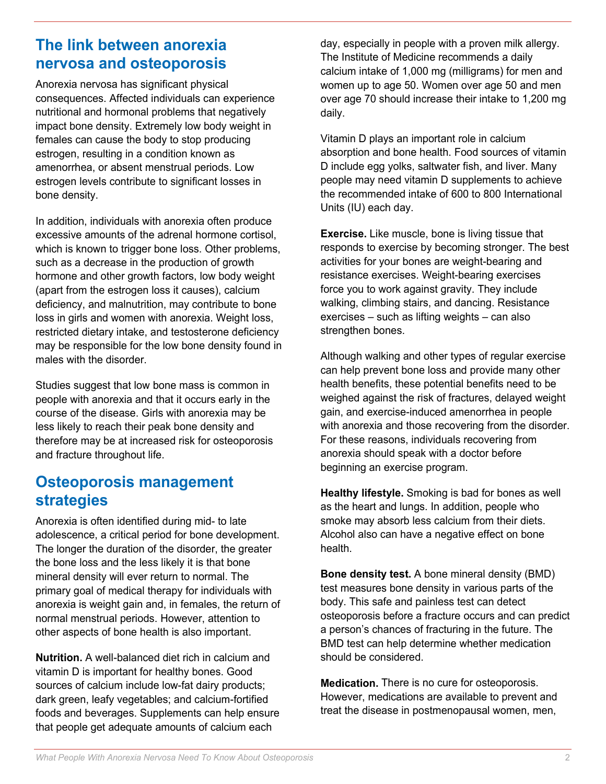## **The link between anorexia nervosa and osteoporosis**

Anorexia nervosa has significant physical consequences. Affected individuals can experience nutritional and hormonal problems that negatively impact bone density. Extremely low body weight in females can cause the body to stop producing estrogen, resulting in a condition known as amenorrhea, or absent menstrual periods. Low estrogen levels contribute to significant losses in bone density.

In addition, individuals with anorexia often produce excessive amounts of the adrenal hormone cortisol, which is known to trigger bone loss. Other problems, such as a decrease in the production of growth hormone and other growth factors, low body weight (apart from the estrogen loss it causes), calcium deficiency, and malnutrition, may contribute to bone loss in girls and women with anorexia. Weight loss, restricted dietary intake, and testosterone deficiency may be responsible for the low bone density found in males with the disorder.

Studies suggest that low bone mass is common in people with anorexia and that it occurs early in the course of the disease. Girls with anorexia may be less likely to reach their peak bone density and therefore may be at increased risk for osteoporosis and fracture throughout life.

#### **Osteoporosis management strategies**

Anorexia is often identified during mid- to late adolescence, a critical period for bone development. The longer the duration of the disorder, the greater the bone loss and the less likely it is that bone mineral density will ever return to normal. The primary goal of medical therapy for individuals with anorexia is weight gain and, in females, the return of normal menstrual periods. However, attention to other aspects of bone health is also important.

**Nutrition.** A well-balanced diet rich in calcium and vitamin D is important for healthy bones. Good sources of calcium include low-fat dairy products; dark green, leafy vegetables; and calcium-fortified foods and beverages. Supplements can help ensure that people get adequate amounts of calcium each

day, especially in people with a proven milk allergy. The Institute of Medicine recommends a daily calcium intake of 1,000 mg (milligrams) for men and women up to age 50. Women over age 50 and men over age 70 should increase their intake to 1,200 mg daily.

Vitamin D plays an important role in calcium absorption and bone health. Food sources of vitamin D include egg yolks, saltwater fish, and liver. Many people may need vitamin D supplements to achieve the recommended intake of 600 to 800 International Units (IU) each day.

**Exercise.** Like muscle, bone is living tissue that responds to exercise by becoming stronger. The best activities for your bones are weight-bearing and resistance exercises. Weight-bearing exercises force you to work against gravity. They include walking, climbing stairs, and dancing. Resistance exercises – such as lifting weights – can also strengthen bones.

Although walking and other types of regular exercise can help prevent bone loss and provide many other health benefits, these potential benefits need to be weighed against the risk of fractures, delayed weight gain, and exercise-induced amenorrhea in people with anorexia and those recovering from the disorder. For these reasons, individuals recovering from anorexia should speak with a doctor before beginning an exercise program.

**Healthy lifestyle.** Smoking is bad for bones as well as the heart and lungs. In addition, people who smoke may absorb less calcium from their diets. Alcohol also can have a negative effect on bone health.

**Bone density test.** A bone mineral density (BMD) test measures bone density in various parts of the body. This safe and painless test can detect osteoporosis before a fracture occurs and can predict a person's chances of fracturing in the future. The BMD test can help determine whether medication should be considered.

**Medication.** There is no cure for osteoporosis. However, medications are available to prevent and treat the disease in postmenopausal women, men,